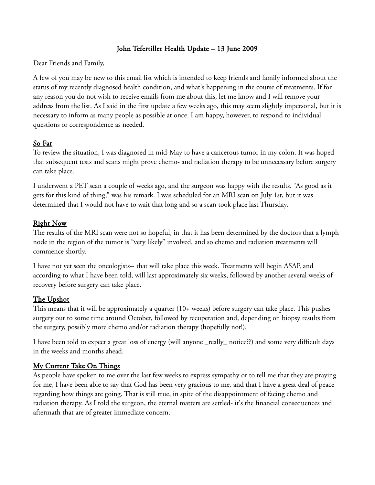# John Tefertiller Health Update – 13 June 2009

Dear Friends and Family,

A few of you may be new to this email list which is intended to keep friends and family informed about the status of my recently diagnosed health condition, and what's happening in the course of treatments. If for any reason you do not wish to receive emails from me about this, let me know and I will remove your address from the list. As I said in the first update a few weeks ago, this may seem slightly impersonal, but it is necessary to inform as many people as possible at once. I am happy, however, to respond to individual questions or correspondence as needed.

### So Far

To review the situation, I was diagnosed in mid-May to have a cancerous tumor in my colon. It was hoped that subsequent tests and scans might prove chemo- and radiation therapy to be unnecessary before surgery can take place.

I underwent a PET scan a couple of weeks ago, and the surgeon was happy with the results. "As good as it gets for this kind of thing," was his remark. I was scheduled for an MRI scan on July 1st, but it was determined that I would not have to wait that long and so a scan took place last Thursday.

#### Right Now

The results of the MRI scan were not so hopeful, in that it has been determined by the doctors that a lymph node in the region of the tumor is "very likely" involved, and so chemo and radiation treatments will commence shortly.

I have not yet seen the oncologists-- that will take place this week. Treatments will begin ASAP, and according to what I have been told, will last approximately six weeks, followed by another several weeks of recovery before surgery can take place.

### The Upshot

This means that it will be approximately a quarter (10+ weeks) before surgery can take place. This pushes surgery out to some time around October, followed by recuperation and, depending on biopsy results from the surgery, possibly more chemo and/or radiation therapy (hopefully not!).

I have been told to expect a great loss of energy (will anyone \_really\_ notice??) and some very difficult days in the weeks and months ahead.

### My Current Take On Things

As people have spoken to me over the last few weeks to express sympathy or to tell me that they are praying for me, I have been able to say that God has been very gracious to me, and that I have a great deal of peace regarding how things are going. That is still true, in spite of the disappointment of facing chemo and radiation therapy. As I told the surgeon, the eternal matters are settled- it's the financial consequences and aftermath that are of greater immediate concern.